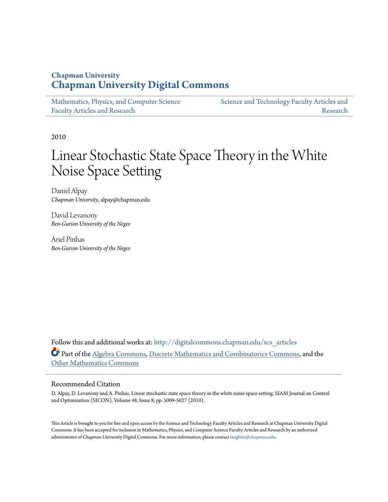# **Chapman University [Chapman University Digital Commons](http://digitalcommons.chapman.edu?utm_source=digitalcommons.chapman.edu%2Fscs_articles%2F388&utm_medium=PDF&utm_campaign=PDFCoverPages)**

| Mathematics, Physics, and Computer Science | Science and Technology Faculty Articles and |
|--------------------------------------------|---------------------------------------------|
| <b>Faculty Articles and Research</b>       | Research                                    |

2010

# Linear Stochastic State Space Theory in the White Noise Space Setting

Daniel Alpay *Chapman University*, alpay@chapman.edu

David Levanony *Ben-Gurion University of the Negev*

Ariel Pinhas *Ben-Gurion University of the Negev*

Follow this and additional works at: [http://digitalcommons.chapman.edu/scs\\_articles](http://digitalcommons.chapman.edu/scs_articles?utm_source=digitalcommons.chapman.edu%2Fscs_articles%2F388&utm_medium=PDF&utm_campaign=PDFCoverPages) Part of the [Algebra Commons,](http://network.bepress.com/hgg/discipline/175?utm_source=digitalcommons.chapman.edu%2Fscs_articles%2F388&utm_medium=PDF&utm_campaign=PDFCoverPages) [Discrete Mathematics and Combinatorics Commons](http://network.bepress.com/hgg/discipline/178?utm_source=digitalcommons.chapman.edu%2Fscs_articles%2F388&utm_medium=PDF&utm_campaign=PDFCoverPages), and the [Other Mathematics Commons](http://network.bepress.com/hgg/discipline/185?utm_source=digitalcommons.chapman.edu%2Fscs_articles%2F388&utm_medium=PDF&utm_campaign=PDFCoverPages)

# Recommended Citation

D. Alpay, D. Levanony and A. Pinhas. Linear stochastic state space theory in the white noise space setting. SIAM Journal on Control and Optimization (SICON), Volume 48, Issue 8, pp. 5009-5027 (2010).

This Article is brought to you for free and open access by the Science and Technology Faculty Articles and Research at Chapman University Digital Commons. It has been accepted for inclusion in Mathematics, Physics, and Computer Science Faculty Articles and Research by an authorized administrator of Chapman University Digital Commons. For more information, please contact [laughtin@chapman.edu.](mailto:laughtin@chapman.edu)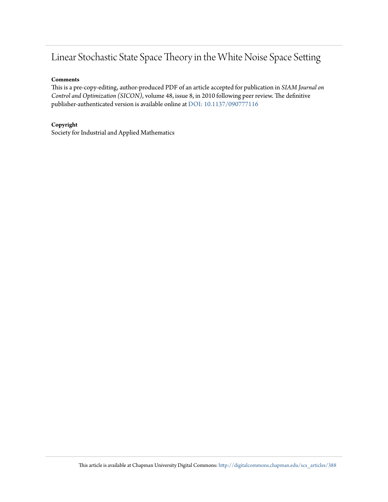# Linear Stochastic State Space Theory in the White Noise Space Setting

# **Comments**

This is a pre-copy-editing, author-produced PDF of an article accepted for publication in *SIAM Journal on Control and Optimization (SICON)*, volume 48, issue 8, in 2010 following peer review. The definitive publisher-authenticated version is available online at [DOI: 10.1137/090777116](http://dx.doi.org/10.1137/090777116)

# **Copyright**

Society for Industrial and Applied Mathematics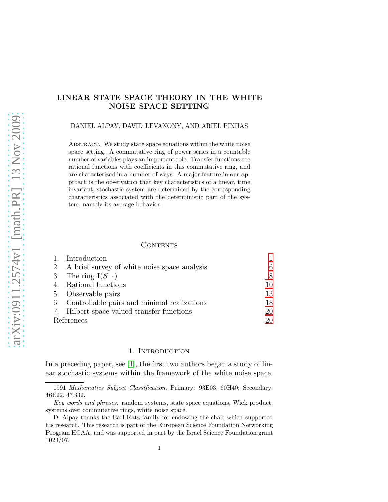# LINEAR STATE SPACE THEORY IN THE WHITE NOISE SPACE SETTING

#### DANIEL ALPAY, DAVID LEVANONY, AND ARIEL PINHAS

ABSTRACT. We study state space equations within the white noise space setting. A commutative ring of power series in a countable number of variables plays an important role. Transfer functions are rational functions with coefficients in this commutative ring, and are characterized in a number of ways. A major feature in our approach is the observation that key characteristics of a linear, time invariant, stochastic system are determined by the corresponding characteristics associated with the deterministic part of the system, namely its average behavior.

# **CONTENTS**

| 1. Introduction                                 |    |
|-------------------------------------------------|----|
| 2. A brief survey of white noise space analysis |    |
| 3. The ring $I(S_{-1})$                         |    |
| 4. Rational functions                           | 10 |
| 5. Observable pairs                             | 13 |
| 6. Controllable pairs and minimal realizations  | 18 |
| 7. Hilbert-space valued transfer functions      | 20 |
| References                                      | 20 |

#### 1. Introduction

<span id="page-2-0"></span>In a preceding paper, see [\[1\]](#page-21-2), the first two authors began a study of linear stochastic systems within the framework of the white noise space.

<sup>1991</sup> Mathematics Subject Classification. Primary: 93E03, 60H40; Secondary: 46E22, 47B32.

Key words and phrases. random systems, state space equations, Wick product, systems over commutative rings, white noise space.

D. Alpay thanks the Earl Katz family for endowing the chair which supported his research. This research is part of the European Science Foundation Networking Program HCAA, and was supported in part by the Israel Science Foundation grant 1023/07.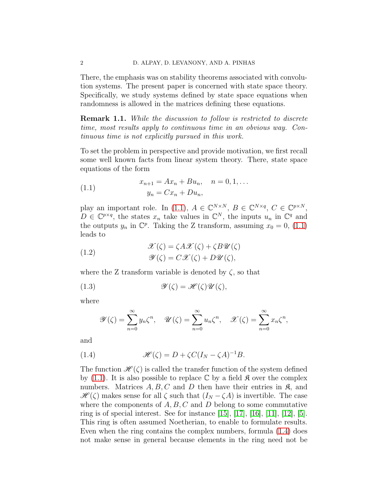There, the emphasis was on stability theorems associated with convolution systems. The present paper is concerned with state space theory. Specifically, we study systems defined by state space equations when randomness is allowed in the matrices defining these equations.

**Remark 1.1.** While the discussion to follow is restricted to discrete time, most results apply to continuous time in an obvious way. Continuous time is not explicitly pursued in this work.

To set the problem in perspective and provide motivation, we first recall some well known facts from linear system theory. There, state space equations of the form

<span id="page-3-0"></span>(1.1) 
$$
x_{n+1} = Ax_n + Bu_n, \quad n = 0, 1, ...
$$

$$
y_n = Cx_n + Du_n,
$$

play an important role. In [\(1.1\)](#page-3-0),  $A \in \mathbb{C}^{N \times N}$ ,  $B \in \mathbb{C}^{N \times q}$ ,  $C \in \mathbb{C}^{p \times N}$ ,  $D \in \mathbb{C}^{p \times q}$ , the states  $x_n$  take values in  $\mathbb{C}^N$ , the inputs  $u_n$  in  $\mathbb{C}^q$  and the outputs  $y_n$  in  $\mathbb{C}^p$ . Taking the Z transform, assuming  $x_0 = 0$ , [\(1.1\)](#page-3-0) leads to

(1.2) 
$$
\mathcal{X}(\zeta) = \zeta A \mathcal{X}(\zeta) + \zeta B \mathcal{U}(\zeta)
$$

$$
\mathcal{Y}(\zeta) = C \mathcal{X}(\zeta) + D \mathcal{U}(\zeta),
$$

where the Z transform variable is denoted by  $\zeta$ , so that

(1.3) 
$$
\mathscr{Y}(\zeta) = \mathscr{H}(\zeta)\mathscr{U}(\zeta),
$$

where

<span id="page-3-1"></span>
$$
\mathscr{Y}(\zeta) = \sum_{n=0}^{\infty} y_n \zeta^n, \quad \mathscr{U}(\zeta) = \sum_{n=0}^{\infty} u_n \zeta^n, \quad \mathscr{X}(\zeta) = \sum_{n=0}^{\infty} x_n \zeta^n,
$$

and

(1.4) 
$$
\mathcal{H}(\zeta) = D + \zeta C (I_N - \zeta A)^{-1} B.
$$

The function  $\mathscr{H}(\zeta)$  is called the transfer function of the system defined by [\(1.1\)](#page-3-0). It is also possible to replace  $\mathbb C$  by a field  $\mathfrak K$  over the complex numbers. Matrices  $A, B, C$  and D then have their entries in  $\mathfrak{K}$ , and  $\mathscr{H}(\zeta)$  makes sense for all  $\zeta$  such that  $(I_N - \zeta A)$  is invertible. The case where the components of  $A, B, C$  and  $D$  belong to some commutative ring is of special interest. See for instance  $[15]$ ,  $[17]$ ,  $[16]$ ,  $[11]$ ,  $[12]$ ,  $[5]$ . This ring is often assumed Noetherian, to enable to formulate results. Even when the ring contains the complex numbers, formula [\(1.4\)](#page-3-1) does not make sense in general because elements in the ring need not be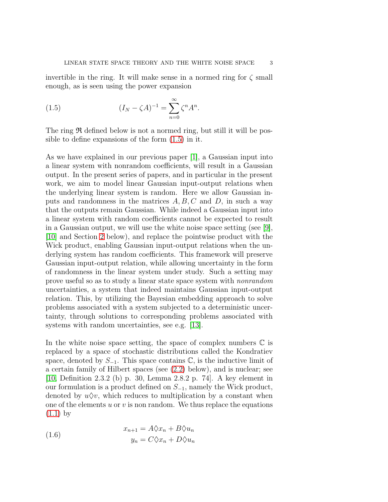invertible in the ring. It will make sense in a normed ring for  $\zeta$  small enough, as is seen using the power expansion

<span id="page-4-0"></span>(1.5) 
$$
(I_N - \zeta A)^{-1} = \sum_{n=0}^{\infty} \zeta^n A^n.
$$

The ring  $\Re$  defined below is not a normed ring, but still it will be possible to define expansions of the form [\(1.5\)](#page-4-0) in it.

As we have explained in our previous paper [\[1\]](#page-21-2), a Gaussian input into a linear system with nonrandom coefficients, will result in a Gaussian output. In the present series of papers, and in particular in the present work, we aim to model linear Gaussian input-output relations when the underlying linear system is random. Here we allow Gaussian inputs and randomness in the matrices  $A, B, C$  and  $D$ , in such a way that the outputs remain Gaussian. While indeed a Gaussian input into a linear system with random coefficients cannot be expected to result in a Gaussian output, we will use the white noise space setting (see [\[9\]](#page-22-6), [\[10\]](#page-22-7) and Section [2](#page-7-0) below), and replace the pointwise product with the Wick product, enabling Gaussian input-output relations when the underlying system has random coefficients. This framework will preserve Gaussian input-output relation, while allowing uncertainty in the form of randomness in the linear system under study. Such a setting may prove useful so as to study a linear state space system with nonrandom uncertainties, a system that indeed maintains Gaussian input-output relation. This, by utilizing the Bayesian embedding approach to solve problems associated with a system subjected to a deterministic uncertainty, through solutions to corresponding problems associated with systems with random uncertainties, see e.g. [\[13\]](#page-22-8).

In the white noise space setting, the space of complex numbers  $\mathbb C$  is replaced by a space of stochastic distributions called the Kondratiev space, denoted by  $S_{-1}$ . This space contains  $\mathbb{C}$ , is the inductive limit of a certain family of Hilbert spaces (see [\(2.2\)](#page-8-0) below), and is nuclear; see [\[10,](#page-22-7) Definition 2.3.2 (b) p. 30, Lemma 2.8.2 p. 74]. A key element in our formulation is a product defined on  $S_{-1}$ , namely the Wick product, denoted by  $u\Diamond v$ , which reduces to multiplication by a constant when one of the elements  $u$  or  $v$  is non random. We thus replace the equations  $(1.1)$  by

<span id="page-4-1"></span>(1.6) 
$$
x_{n+1} = A\Diamond x_n + B\Diamond u_n
$$

$$
y_n = C\Diamond x_n + D\Diamond u_n
$$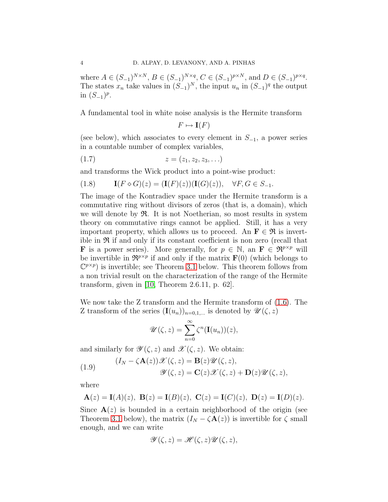where  $A \in (S_{-1})^{N \times N}, B \in (S_{-1})^{N \times q}, C \in (S_{-1})^{p \times N}, \text{ and } D \in (S_{-1})^{p \times q}.$ The states  $x_n$  take values in  $(S_{-1})^N$ , the input  $u_n$  in  $(S_{-1})^q$  the output in  $(S_{-1})^p$ .

A fundamental tool in white noise analysis is the Hermite transform

$$
F \mapsto \mathbf{I}(F)
$$

(see below), which associates to every element in  $S_{-1}$ , a power series in a countable number of complex variables,

$$
(1.7) \t\t\t z = (z_1, z_2, z_3, \ldots)
$$

and transforms the Wick product into a point-wise product:

<span id="page-5-1"></span>
$$
(1.8) \qquad \mathbf{I}(F \diamond G)(z) = (\mathbf{I}(F)(z))(\mathbf{I}(G)(z)), \quad \forall F, G \in S_{-1}.
$$

The image of the Kontradiev space under the Hermite transform is a commutative ring without divisors of zeros (that is, a domain), which we will denote by  $\mathfrak{R}$ . It is not Noetherian, so most results in system theory on commutative rings cannot be applied. Still, it has a very important property, which allows us to proceed. An  $\mathbf{F} \in \mathcal{R}$  is invertible in  $\mathfrak{R}$  if and only if its constant coefficient is non zero (recall that **F** is a power series). More generally, for  $p \in \mathbb{N}$ , an  $\mathbf{F} \in \mathbb{R}^{p \times p}$  will be invertible in  $\mathbb{R}^{p \times p}$  if and only if the matrix  $\mathbf{F}(0)$  (which belongs to  $(\mathbb{C}^{p \times p})$  is invertible; see Theorem [3.1](#page-10-0) below. This theorem follows from a non trivial result on the characterization of the range of the Hermite transform, given in [\[10,](#page-22-7) Theorem 2.6.11, p. 62].

We now take the Z transform and the Hermite transform of [\(1.6\)](#page-4-1). The Z transform of the series  $(I(u_n))_{n=0,1,...}$  is denoted by  $\mathscr{U}(\zeta, z)$ 

$$
\mathscr{U}(\zeta,z) = \sum_{n=0}^{\infty} \zeta^n(\mathbf{I}(u_n))(z),
$$

and similarly for  $\mathscr{Y}(\zeta, z)$  and  $\mathscr{X}(\zeta, z)$ . We obtain:

<span id="page-5-0"></span>(1.9) 
$$
(I_N - \zeta \mathbf{A}(z)) \mathscr{X}(\zeta, z) = \mathbf{B}(z) \mathscr{U}(\zeta, z),
$$

$$
\mathscr{Y}(\zeta, z) = \mathbf{C}(z) \mathscr{X}(\zeta, z) + \mathbf{D}(z) \mathscr{U}(\zeta, z),
$$

where

$$
A(z) = I(A)(z), B(z) = I(B)(z), C(z) = I(C)(z), D(z) = I(D)(z).
$$

Since  $\mathbf{A}(z)$  is bounded in a certain neighborhood of the origin (see Theorem [3.1](#page-10-0) below), the matrix  $(I_N - \zeta \mathbf{A}(z))$  is invertible for  $\zeta$  small enough, and we can write

$$
\mathscr{Y}(\zeta,z) = \mathscr{H}(\zeta,z)\mathscr{U}(\zeta,z),
$$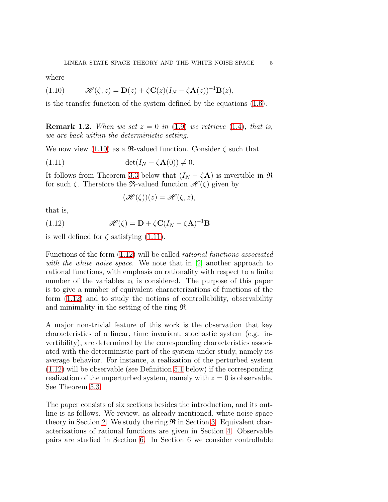where

<span id="page-6-0"></span>(1.10) 
$$
\mathscr{H}(\zeta,z) = \mathbf{D}(z) + \zeta \mathbf{C}(z) (I_N - \zeta \mathbf{A}(z))^{-1} \mathbf{B}(z),
$$

is the transfer function of the system defined by the equations [\(1.6\)](#page-4-1).

**Remark 1.2.** When we set  $z = 0$  in [\(1.9\)](#page-5-0) we retrieve [\(1.4\)](#page-3-1), that is, we are back within the deterministic setting.

We now view  $(1.10)$  as a  $\mathfrak{R}\text{-valued}$  function. Consider  $\zeta$  such that

$$
(1.11) \qquad \det(I_N - \zeta \mathbf{A}(0)) \neq 0.
$$

It follows from Theorem [3.3](#page-10-1) below that  $(I_N - \zeta \mathbf{A})$  is invertible in  $\Re$ for such  $\zeta$ . Therefore the **R**-valued function  $\mathcal{H}(\zeta)$  given by

<span id="page-6-2"></span><span id="page-6-1"></span>
$$
(\mathscr{H}(\zeta))(z) = \mathscr{H}(\zeta, z),
$$

that is,

(1.12) 
$$
\mathscr{H}(\zeta) = \mathbf{D} + \zeta \mathbf{C} (I_N - \zeta \mathbf{A})^{-1} \mathbf{B}
$$

is well defined for  $\zeta$  satisfying [\(1.11\)](#page-6-1).

Functions of the form [\(1.12\)](#page-6-2) will be called rational functions associated with the white noise space. We note that in [\[2\]](#page-21-3) another approach to rational functions, with emphasis on rationality with respect to a finite number of the variables  $z_k$  is considered. The purpose of this paper is to give a number of equivalent characterizations of functions of the form [\(1.12\)](#page-6-2) and to study the notions of controllability, observability and minimality in the setting of the ring R.

A major non-trivial feature of this work is the observation that key characteristics of a linear, time invariant, stochastic system (e.g. invertibility), are determined by the corresponding characteristics associated with the deterministic part of the system under study, namely its average behavior. For instance, a realization of the perturbed system [\(1.12\)](#page-6-2) will be observable (see Definition [5.1](#page-14-1) below) if the corresponding realization of the unperturbed system, namely with  $z = 0$  is observable. See Theorem [5.3.](#page-15-0)

The paper consists of six sections besides the introduction, and its outline is as follows. We review, as already mentioned, white noise space theory in Section [2.](#page-7-0) We study the ring  $\Re$  in Section [3.](#page-9-0) Equivalent characterizations of rational functions are given in Section [4.](#page-11-0) Observable pairs are studied in Section [6.](#page-19-0) In Section 6 we consider controllable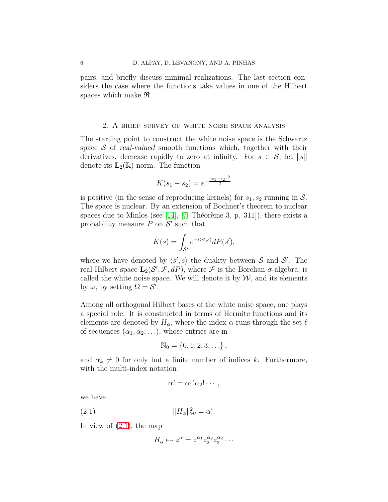pairs, and briefly discuss minimal realizations. The last section considers the case where the functions take values in one of the Hilbert spaces which make R.

# 2. A brief survey of white noise space analysis

<span id="page-7-0"></span>The starting point to construct the white noise space is the Schwartz space  $S$  of real-valued smooth functions which, together with their derivatives, decrease rapidly to zero at infinity. For  $s \in \mathcal{S}$ , let  $||s||$ denote its  $\mathbf{L}_2(\mathbb{R})$  norm. The function

$$
K(s_1 - s_2) = e^{-\frac{||s_1 - s_2||^2}{2}}
$$

is positive (in the sense of reproducing kernels) for  $s_1, s_2$  running in  $\mathcal{S}$ . The space is nuclear. By an extension of Bochner's theorem to nuclear spaces due to Minlos (see [\[14\]](#page-22-9), [\[7,](#page-22-10) Théorème 3, p. 311]), there exists a probability measure  $P$  on  $S'$  such that

$$
K(s) = \int_{S'} e^{-i\langle s', s \rangle} dP(s'),
$$

where we have denoted by  $\langle s', s \rangle$  the duality between S and S'. The real Hilbert space  $\mathbf{L}_{2}(\mathcal{S}', \mathcal{F}, dP)$ , where  $\mathcal F$  is the Borelian  $\sigma$ -algebra, is called the white noise space. We will denote it by  $W$ , and its elements by  $\omega$ , by setting  $\Omega = \mathcal{S}'$ .

Among all orthogonal Hilbert bases of the white noise space, one plays a special role. It is constructed in terms of Hermite functions and its elements are denoted by  $H_{\alpha}$ , where the index  $\alpha$  runs through the set  $\ell$ of sequences  $(\alpha_1, \alpha_2, \ldots)$ , whose entries are in

$$
\mathbb{N}_0 = \{0, 1, 2, 3, \ldots\} \,,
$$

and  $\alpha_k \neq 0$  for only but a finite number of indices k. Furthermore, with the multi-index notation

<span id="page-7-1"></span>
$$
\alpha! = \alpha_1! \alpha_2! \cdots,
$$

we have

(2.1) kHαk 2 <sup>W</sup> = α!.

In view of  $(2.1)$ , the map

$$
H_{\alpha} \mapsto z^{\alpha} = z_1^{\alpha_1} z_2^{\alpha_2} z_3^{\alpha_2} \cdots
$$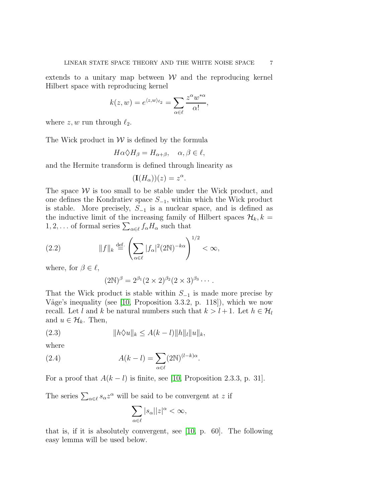extends to a unitary map between  $W$  and the reproducing kernel Hilbert space with reproducing kernel

$$
k(z, w) = e^{\langle z, w \rangle_{\ell_2}} = \sum_{\alpha \in \ell} \frac{z^{\alpha} w^{*\alpha}}{\alpha!},
$$

where  $z, w$  run through  $\ell_2$ .

The Wick product in  $W$  is defined by the formula

$$
H\alpha \Diamond H_{\beta} = H_{\alpha+\beta}, \quad \alpha, \beta \in \ell,
$$

and the Hermite transform is defined through linearity as

$$
(\mathbf{I}(H_{\alpha}))(z) = z^{\alpha}.
$$

The space  $W$  is too small to be stable under the Wick product, and one defines the Kondratiev space  $S_{-1}$ , within which the Wick product is stable. More precisely,  $S_{-1}$  is a nuclear space, and is defined as the inductive limit of the increasing family of Hilbert spaces  $\mathcal{H}_k, k =$  $1, 2, \ldots$  of formal series  $\sum_{\alpha \in \ell} f_{\alpha} H_{\alpha}$  such that

(2.2) 
$$
||f||_k \stackrel{\text{def.}}{=} \left(\sum_{\alpha \in \ell} |f_{\alpha}|^2 (2\mathbb{N})^{-k\alpha}\right)^{1/2} < \infty,
$$

where, for  $\beta \in \ell$ ,

<span id="page-8-1"></span><span id="page-8-0"></span>
$$
(2\mathbb{N})^{\beta} = 2^{\beta_1} (2 \times 2)^{\beta_2} (2 \times 3)^{\beta_3} \cdots
$$

That the Wick product is stable within  $S_{-1}$  is made more precise by Våge's inequality (see  $[10,$  Proposition 3.3.2, p. 118]), which we now recall. Let l and k be natural numbers such that  $k > l + 1$ . Let  $h \in \mathcal{H}_l$ and  $u \in \mathcal{H}_k$ . Then,

(2.3) 
$$
||h\Diamond u||_k \le A(k-l)||h||_l||u||_k,
$$

where

(2.4) 
$$
A(k-l) = \sum_{\alpha \in \ell} (2N)^{(l-k)\alpha}
$$

For a proof that  $A(k - l)$  is finite, see [\[10,](#page-22-7) Proposition 2.3.3, p. 31].

.

The series  $\sum_{\alpha \in \ell} s_{\alpha} z^{\alpha}$  will be said to be convergent at z if

$$
\sum_{\alpha \in \ell} |s_{\alpha}| |z|^{\alpha} < \infty,
$$

that is, if it is absolutely convergent, see [\[10,](#page-22-7) p. 60]. The following easy lemma will be used below.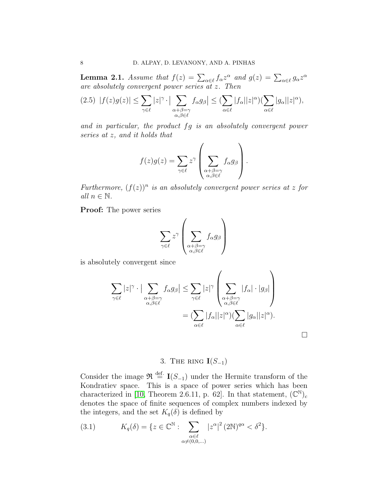**Lemma 2.1.** Assume that  $f(z) = \sum_{\alpha \in \ell} f_{\alpha} z^{\alpha}$  and  $g(z) = \sum_{\alpha \in \ell} g_{\alpha} z^{\alpha}$ are absolutely convergent power series at z. Then

$$
(2.5)\ \ |f(z)g(z)|\leq \sum_{\gamma\in\ell}|z|^{\gamma}\cdot\big|\sum_{\substack{\alpha+\beta=\gamma\\ \alpha,\beta\in\ell}}f_{\alpha}g_{\beta}\big|\leq (\sum_{\alpha\in\ell}|f_{\alpha}||z|^{\alpha})(\sum_{\alpha\in\ell}|g_{\alpha}||z|^{\alpha}),
$$

and in particular, the product fg is an absolutely convergent power series at z, and it holds that

$$
f(z)g(z) = \sum_{\gamma \in \ell} z^{\gamma} \left( \sum_{\substack{\alpha + \beta = \gamma \\ \alpha, \beta \in \ell}} f_{\alpha} g_{\beta} \right).
$$

Furthermore,  $(f(z))^n$  is an absolutely convergent power series at z for all  $n \in \mathbb{N}$ .

Proof: The power series

$$
\sum_{\gamma \in \ell} z^{\gamma} \left( \sum_{\substack{\alpha + \beta = \gamma \\ \alpha, \beta \in \ell}} f_{\alpha} g_{\beta} \right)
$$

is absolutely convergent since

$$
\sum_{\gamma \in \ell} |z|^{\gamma} \cdot \Big| \sum_{\substack{\alpha + \beta = \gamma \\ \alpha, \beta \in \ell}} f_{\alpha} g_{\beta} \Big| \leq \sum_{\gamma \in \ell} |z|^{\gamma} \left( \sum_{\substack{\alpha + \beta = \gamma \\ \alpha, \beta \in \ell}} |f_{\alpha}| \cdot |g_{\beta}| \right)
$$

$$
= \left( \sum_{\alpha \in \ell} |f_{\alpha}| |z|^{\alpha} \right) \left( \sum_{\alpha \in \ell} |g_{\alpha}| |z|^{\alpha} \right).
$$

 $\Box$ 

# 3. THE RING  $\mathbf{I}(S_{-1})$

<span id="page-9-0"></span>Consider the image  $\mathfrak{R} \stackrel{\text{def.}}{=} \mathbf{I}(S_{-1})$  under the Hermite transform of the Kondratiev space. This is a space of power series which has been characterized in [\[10,](#page-22-7) Theorem 2.6.11, p. 62]. In that statement,  $(\mathbb{C}^{\mathbb{N}})_{c}$ denotes the space of finite sequences of complex numbers indexed by the integers, and the set  $K_q(\delta)$  is defined by

(3.1) 
$$
K_q(\delta) = \{ z \in \mathbb{C}^{\mathbb{N}} : \sum_{\substack{\alpha \in \ell \\ \alpha \neq (0,0,\dots)}} |z^{\alpha}|^2 (2\mathbb{N})^{q\alpha} < \delta^2 \}.
$$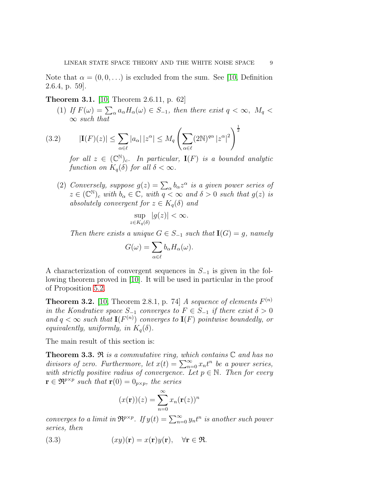Note that  $\alpha = (0, 0, \ldots)$  is excluded from the sum. See [\[10,](#page-22-7) Definition 2.6.4, p. 59].

#### Theorem 3.1. [\[10,](#page-22-7) Theorem 2.6.11, p. 62]

(1) If  $F(\omega) = \sum_{\alpha} a_{\alpha} H_{\alpha}(\omega) \in S_{-1}$ , then there exist  $q < \infty$ ,  $M_q <$  $\infty$  such that

(3.2) 
$$
|\mathbf{I}(F)(z)| \leq \sum_{\alpha \in \ell} |a_{\alpha}| |z^{\alpha}| \leq M_q \left( \sum_{\alpha \in \ell} (2\mathbb{N})^{q\alpha} |z^{\alpha}|^2 \right)^{\frac{1}{2}}
$$

<span id="page-10-2"></span>for all  $z \in (\mathbb{C}^{\mathbb{N}})_{c}$ . In particular,  $\mathbf{I}(F)$  is a bounded analytic function on  $K_q(\delta)$  for all  $\delta < \infty$ .

<span id="page-10-0"></span>(2) Conversely, suppose  $g(z) = \sum_{\alpha} b_{\alpha} z^{\alpha}$  is a given power series of  $z \in (\mathbb{C}^{\mathbb{N}})_{c}$  with  $b_{\alpha} \in \mathbb{C}$ , with  $q < \infty$  and  $\delta > 0$  such that  $g(z)$  is absolutely convergent for  $z \in K_q(\delta)$  and

$$
\sup_{z \in K_q(\delta)} |g(z)| < \infty.
$$

Then there exists a unique  $G \in S_{-1}$  such that  $I(G) = g$ , namely

$$
G(\omega) = \sum_{\alpha \in \ell} b_{\alpha} H_{\alpha}(\omega).
$$

A characterization of convergent sequences in  $S_{-1}$  is given in the following theorem proved in [\[10\]](#page-22-7). It will be used in particular in the proof of Proposition [5.2.](#page-14-2)

<span id="page-10-3"></span>**Theorem 3.2.** [\[10,](#page-22-7) Theorem 2.8.1, p. 74] A sequence of elements  $F^{(n)}$ in the Kondratiev space  $S_{-1}$  converges to  $F \in S_{-1}$  if there exist  $\delta > 0$ and  $q < \infty$  such that  $\mathbf{I}(F^{(n)})$  converges to  $\mathbf{I}(F)$  pointwise boundedly, or equivalently, uniformly, in  $K_q(\delta)$ .

The main result of this section is:

**Theorem 3.3.**  $\Re$  is a commutative ring, which contains  $\mathbb C$  and has no divisors of zero. Furthermore, let  $x(t) = \sum_{n=0}^{\infty} x_n t^n$  be a power series, with strictly positive radius of convergence. Let  $p \in \mathbb{N}$ . Then for every  $\mathbf{r} \in \mathfrak{R}^{p \times p}$  such that  $\mathbf{r}(0) = 0_{p \times p}$ , the series

<span id="page-10-1"></span>
$$
(x(\mathbf{r}))(z) = \sum_{n=0}^{\infty} x_n (\mathbf{r}(z))^n
$$

converges to a limit in  $\mathfrak{R}^{p\times p}$ . If  $y(t) = \sum_{n=0}^{\infty} y_n t^n$  is another such power series, then

(3.3) 
$$
(xy)(\mathbf{r}) = x(\mathbf{r})y(\mathbf{r}), \quad \forall \mathbf{r} \in \mathfrak{R}.
$$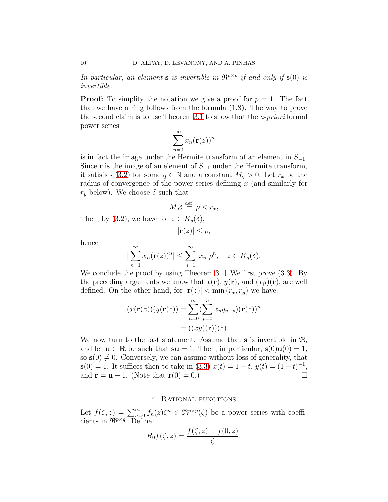In particular, an element **s** is invertible in  $\mathbb{R}^{p \times p}$  if and only if **s**(0) is invertible.

**Proof:** To simplify the notation we give a proof for  $p = 1$ . The fact that we have a ring follows from the formula [\(1.8\)](#page-5-1). The way to prove the second claim is to use Theorem [3.1](#page-10-0) to show that the a-priori formal power series

$$
\sum_{n=0}^{\infty} x_n (\mathbf{r}(z))^n
$$

is in fact the image under the Hermite transform of an element in  $S_{-1}$ . Since **r** is the image of an element of  $S_{-1}$  under the Hermite transform, it satisfies [\(3.2\)](#page-10-2) for some  $q \in \mathbb{N}$  and a constant  $M_q > 0$ . Let  $r_x$  be the radius of convergence of the power series defining  $x$  (and similarly for  $r_y$  below). We choose  $\delta$  such that

$$
M_q \delta \stackrel{\text{def.}}{=} \rho < r_x,
$$

Then, by [\(3.2\)](#page-10-2), we have for  $z \in K_q(\delta)$ ,

$$
|\mathbf{r}(z)| \leq \rho,
$$

hence

$$
\left|\sum_{n=1}^{\infty} x_n(\mathbf{r}(z))^n\right| \leq \sum_{n=1}^{\infty} |x_n|\rho^n, \quad z \in K_q(\delta).
$$

We conclude the proof by using Theorem [3.1.](#page-10-0) We first prove [\(3.3\)](#page-10-1). By the preceding arguments we know that  $x(\mathbf{r}), y(\mathbf{r}),$  and  $(xy)(\mathbf{r}),$  are well defined. On the other hand, for  $|\mathbf{r}(z)| < \min(r_x, r_y)$  we have:

$$
(x(\mathbf{r}(z))(y(\mathbf{r}(z))) = \sum_{n=0}^{\infty} (\sum_{p=0}^{n} x_p y_{n-p})(\mathbf{r}(z))^n
$$

$$
= ((xy)(\mathbf{r}))(z).
$$

We now turn to the last statement. Assume that  $s$  is invertible in  $\mathfrak{R}$ , and let  $\mathbf{u} \in \mathbf{R}$  be such that  $\mathbf{su} = 1$ . Then, in particular,  $\mathbf{s}(0)\mathbf{u}(0) = 1$ , so  $s(0) \neq 0$ . Conversely, we can assume without loss of generality, that  $s(0) = 1$ . It suffices then to take in [\(3.3\)](#page-10-1)  $x(t) = 1 - t$ ,  $y(t) = (1 - t)^{-1}$ , and  $\mathbf{r} = \mathbf{u} - 1$ . (Note that  $\mathbf{r}(0) = 0$ .)

#### 4. Rational functions

<span id="page-11-0"></span>Let  $f(\zeta, z) = \sum_{n=0}^{\infty} f_n(z) \zeta^n \in \Re^{p \times p}(\zeta)$  be a power series with coefficients in  $\mathfrak{R}^{p \times q}$ . Define

$$
R_0 f(\zeta, z) = \frac{f(\zeta, z) - f(0, z)}{\zeta}.
$$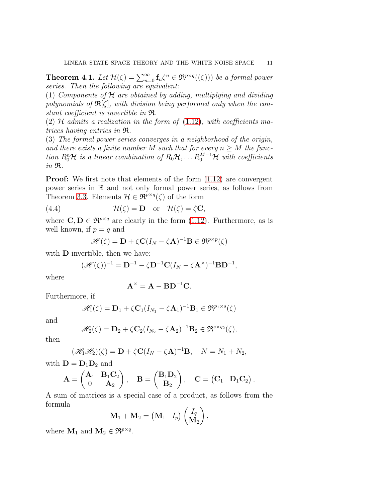**Theorem 4.1.** Let  $\mathcal{H}(\zeta) = \sum_{n=0}^{\infty} \mathbf{f}_n \zeta^n \in \mathfrak{R}^{p \times q}((\zeta))$  be a formal power series. Then the following are equivalent:

(1) Components of  $H$  are obtained by adding, multiplying and dividing polynomials of  $\mathfrak{R}[\zeta]$ , with division being performed only when the constant coefficient is invertible in R.

(2)  $H$  admits a realization in the form of [\(1.12\)](#page-6-2), with coefficients matrices having entries in R.

(3) The formal power series converges in a neighborhood of the origin, and there exists a finite number M such that for every  $n \geq M$  the function  $R_0^n$ H is a linear combination of  $R_0$ H,... $R_0^{M-1}$ H with coefficients in R.

**Proof:** We first note that elements of the form  $(1.12)$  are convergent power series in R and not only formal power series, as follows from Theorem [3.3.](#page-10-1) Elements  $\mathcal{H} \in \mathfrak{R}^{p \times q}(\zeta)$  of the form

(4.4) 
$$
\mathcal{H}(\zeta) = \mathbf{D} \text{ or } \mathcal{H}(\zeta) = \zeta \mathbf{C},
$$

where  $\mathbf{C}, \mathbf{D} \in \mathfrak{R}^{p \times q}$  are clearly in the form [\(1.12\)](#page-6-2). Furthermore, as is well known, if  $p = q$  and

<span id="page-12-0"></span>
$$
\mathscr{H}(\zeta) = \mathbf{D} + \zeta \mathbf{C} (I_N - \zeta \mathbf{A})^{-1} \mathbf{B} \in \mathfrak{R}^{p \times p}(\zeta)
$$

with **D** invertible, then we have:

$$
(\mathscr{H}(\zeta))^{-1} = \mathbf{D}^{-1} - \zeta \mathbf{D}^{-1} \mathbf{C} (I_N - \zeta \mathbf{A}^{\times})^{-1} \mathbf{B} \mathbf{D}^{-1},
$$

where

$$
\mathbf{A}^{\times} = \mathbf{A} - \mathbf{B} \mathbf{D}^{-1} \mathbf{C}.
$$

Furthermore, if

$$
\mathscr{H}_1(\zeta) = \mathbf{D}_1 + \zeta \mathbf{C}_1 (I_{N_1} - \zeta \mathbf{A}_1)^{-1} \mathbf{B}_1 \in \mathfrak{R}^{p_1 \times s}(\zeta)
$$

and

$$
\mathscr{H}_2(\zeta) = \mathbf{D}_2 + \zeta \mathbf{C}_2 (I_{N_2} - \zeta \mathbf{A}_2)^{-1} \mathbf{B}_2 \in \mathfrak{R}^{s \times q_2}(\zeta),
$$

then

$$
(\mathscr{H}_1\mathscr{H}_2)(\zeta) = \mathbf{D} + \zeta \mathbf{C} (I_N - \zeta \mathbf{A})^{-1} \mathbf{B}, \quad N = N_1 + N_2,
$$

with  $\mathbf{D} = \mathbf{D}_1 \mathbf{D}_2$  and

$$
\mathbf{A} = \begin{pmatrix} \mathbf{A}_1 & \mathbf{B}_1 \mathbf{C}_2 \\ 0 & \mathbf{A}_2 \end{pmatrix}, \quad \mathbf{B} = \begin{pmatrix} \mathbf{B}_1 \mathbf{D}_2 \\ \mathbf{B}_2 \end{pmatrix}, \quad \mathbf{C} = \begin{pmatrix} \mathbf{C}_1 & \mathbf{D}_1 \mathbf{C}_2 \end{pmatrix}.
$$

A sum of matrices is a special case of a product, as follows from the formula

$$
\mathbf{M}_1 + \mathbf{M}_2 = \begin{pmatrix} \mathbf{M}_1 & I_p \end{pmatrix} \begin{pmatrix} I_q \\ \mathbf{M}_2 \end{pmatrix},
$$

where  $M_1$  and  $M_2 \in \mathfrak{R}^{p \times q}$ .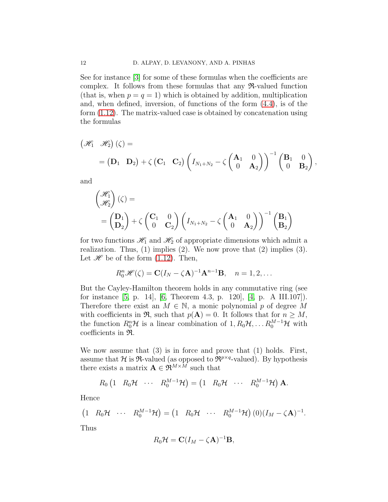See for instance [\[3\]](#page-21-4) for some of these formulas when the coefficients are complex. It follows from these formulas that any R-valued function (that is, when  $p = q = 1$ ) which is obtained by addition, multiplication and, when defined, inversion, of functions of the form [\(4.4\)](#page-12-0), is of the form [\(1.12\)](#page-6-2). The matrix-valued case is obtained by concatenation using the formulas

$$
\begin{aligned}\n\left(\mathcal{H}_1 \quad \mathcal{H}_2\right)(\zeta) &= \\
&= \begin{pmatrix} \mathbf{D}_1 & \mathbf{D}_2 \end{pmatrix} + \zeta \begin{pmatrix} \mathbf{C}_1 & \mathbf{C}_2 \end{pmatrix} \begin{pmatrix} I_{N_1+N_2} - \zeta \begin{pmatrix} \mathbf{A}_1 & 0 \\ 0 & \mathbf{A}_2 \end{pmatrix} \end{pmatrix}^{-1} \begin{pmatrix} \mathbf{B}_1 & 0 \\ 0 & \mathbf{B}_2 \end{pmatrix},\n\end{aligned}
$$

and

$$
\begin{pmatrix} \mathcal{H}_1 \\ \mathcal{H}_2 \end{pmatrix} (\zeta) =
$$
  
=  $\begin{pmatrix} \mathbf{D}_1 \\ \mathbf{D}_2 \end{pmatrix} + \zeta \begin{pmatrix} \mathbf{C}_1 & 0 \\ 0 & \mathbf{C}_2 \end{pmatrix} \begin{pmatrix} I_{N_1+N_2} - \zeta \begin{pmatrix} \mathbf{A}_1 & 0 \\ 0 & \mathbf{A}_2 \end{pmatrix} \end{pmatrix}^{-1} \begin{pmatrix} \mathbf{B}_1 \\ \mathbf{B}_2 \end{pmatrix}$ 

for two functions  $\mathcal{H}_1$  and  $\mathcal{H}_2$  of appropriate dimensions which admit a realization. Thus,  $(1)$  implies  $(2)$ . We now prove that  $(2)$  implies  $(3)$ . Let  $\mathscr H$  be of the form [\(1.12\)](#page-6-2). Then,

$$
R_0^n\mathscr{H}(\zeta) = \mathbf{C}(I_N - \zeta \mathbf{A})^{-1}\mathbf{A}^{n-1}\mathbf{B}, \quad n = 1, 2, \dots
$$

But the Cayley-Hamilton theorem holds in any commutative ring (see for instance [\[5,](#page-22-5) p. 14], [\[6,](#page-22-11) Theorem 4.3, p. 120], [\[4,](#page-22-12) p. A III.107]). Therefore there exist an  $M \in \mathbb{N}$ , a monic polynomial p of degree M with coefficients in  $\mathfrak{R}$ , such that  $p(\mathbf{A}) = 0$ . It follows that for  $n \geq M$ , the function  $R_0^n\mathcal{H}$  is a linear combination of  $1, R_0\mathcal{H}, \ldots R_0^{M-1}\mathcal{H}$  with coefficients in R.

We now assume that  $(3)$  is in force and prove that  $(1)$  holds. First, assume that H is  $\Re$ -valued (as opposed to  $\Re^{p \times q}$ -valued). By hypothesis there exists a matrix  $\mathbf{A} \in \mathfrak{R}^{M \times M}$  such that

$$
R_0\begin{pmatrix}1 & R_0\mathcal{H} & \cdots & R_0^{M-1}\mathcal{H}\end{pmatrix} = \begin{pmatrix}1 & R_0\mathcal{H} & \cdots & R_0^{M-1}\mathcal{H}\end{pmatrix}\mathbf{A}.
$$

Hence

$$
(1 \quad R_0 \mathcal{H} \quad \cdots \quad R_0^{M-1} \mathcal{H}) = (1 \quad R_0 \mathcal{H} \quad \cdots \quad R_0^{M-1} \mathcal{H}) \ (0) (I_M - \zeta \mathbf{A})^{-1}.
$$

Thus

$$
R_0\mathcal{H}=\mathbf{C}(I_M-\zeta\mathbf{A})^{-1}\mathbf{B},
$$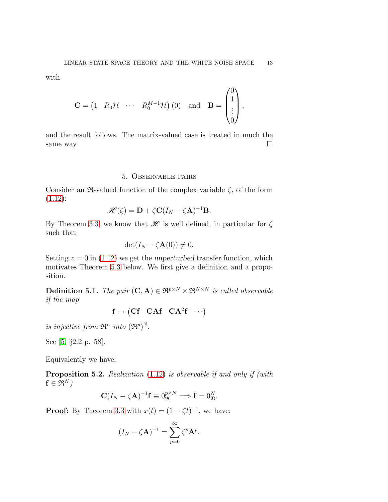with

$$
\mathbf{C} = \begin{pmatrix} 1 & R_0 \mathcal{H} & \cdots & R_0^{M-1} \mathcal{H} \end{pmatrix} \begin{pmatrix} 0 \end{pmatrix} \text{ and } \mathbf{B} = \begin{pmatrix} 0 \\ 1 \\ \vdots \\ 0 \end{pmatrix},
$$

and the result follows. The matrix-valued case is treated in much the same way.  $\Box$ 

# 5. Observable pairs

<span id="page-14-0"></span>Consider an  $\Re$ -valued function of the complex variable  $\zeta$ , of the form  $(1.12):$  $(1.12):$ 

$$
\mathscr{H}(\zeta) = \mathbf{D} + \zeta \mathbf{C} (I_N - \zeta \mathbf{A})^{-1} \mathbf{B}.
$$

By Theorem [3.3,](#page-10-1) we know that  $\mathscr H$  is well defined, in particular for  $\zeta$ such that

$$
\det(I_N - \zeta \mathbf{A}(0)) \neq 0.
$$

Setting  $z = 0$  in [\(1.12\)](#page-6-2) we get the unperturbed transfer function, which motivates Theorem [5.3](#page-15-0) below. We first give a definition and a proposition.

<span id="page-14-1"></span>**Definition 5.1.** The pair  $(C, A) \in \mathbb{R}^{p \times N} \times \mathbb{R}^{N \times N}$  is called observable if the map

$$
\mathbf{f} \mapsto \begin{pmatrix} \mathbf{C} \mathbf{f} & \mathbf{C} \mathbf{A} \mathbf{f} & \mathbf{C} \mathbf{A}^2 \mathbf{f} & \cdots \end{pmatrix}
$$

is injective from  $\mathfrak{R}^n$  into  $(\mathfrak{R}^p)^{\mathbb{N}}$ .

See [\[5,](#page-22-5) §2.2 p. 58].

Equivalently we have:

<span id="page-14-2"></span>**Proposition 5.2.** Realization [\(1.12\)](#page-6-2) is observable if and only if (with  $f \in \Re^N$ )

$$
\mathbf{C}(I_N - \zeta \mathbf{A})^{-1} \mathbf{f} \equiv 0_{\mathfrak{R}}^{p \times N} \Longrightarrow \mathbf{f} = 0_{\mathfrak{R}}^N.
$$

**Proof:** By Theorem [3.3](#page-10-1) with  $x(t) = (1 - \zeta t)^{-1}$ , we have:

$$
(I_N - \zeta \mathbf{A})^{-1} = \sum_{p=0}^{\infty} \zeta^p \mathbf{A}^p.
$$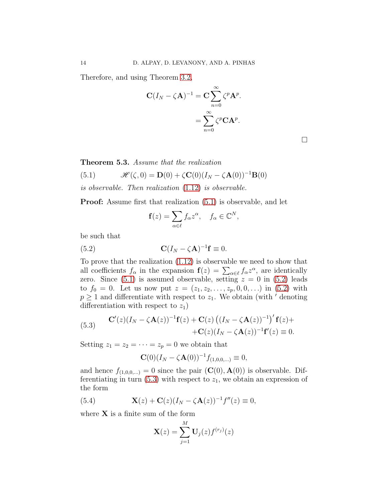Therefore, and using Theorem [3.2,](#page-10-3)

$$
\mathbf{C}(I_N - \zeta \mathbf{A})^{-1} = \mathbf{C} \sum_{n=0}^{\infty} \zeta^p \mathbf{A}^p.
$$

$$
= \sum_{n=0}^{\infty} \zeta^p \mathbf{C} \mathbf{A}^p.
$$

<span id="page-15-0"></span>Theorem 5.3. Assume that the realization

<span id="page-15-1"></span>(5.1) 
$$
\mathscr{H}(\zeta,0) = \mathbf{D}(0) + \zeta \mathbf{C}(0) (I_N - \zeta \mathbf{A}(0))^{-1} \mathbf{B}(0)
$$

is observable. Then realization [\(1.12\)](#page-6-2) is observable.

Proof: Assume first that realization [\(5.1\)](#page-15-1) is observable, and let

<span id="page-15-2"></span>
$$
\mathbf{f}(z) = \sum_{\alpha \in \ell} f_{\alpha} z^{\alpha}, \quad f_{\alpha} \in \mathbb{C}^{N},
$$

be such that

(5.2) 
$$
\mathbf{C}(I_N - \zeta \mathbf{A})^{-1} \mathbf{f} \equiv 0.
$$

To prove that the realization [\(1.12\)](#page-6-2) is observable we need to show that all coefficients  $f_{\alpha}$  in the expansion  $\mathbf{f}(z) = \sum_{\alpha \in \ell} f_{\alpha} z^{\alpha}$ , are identically zero. Since  $(5.1)$  is assumed observable, setting  $z = 0$  in  $(5.2)$  leads to  $f_0 = 0$ . Let us now put  $z = (z_1, z_2, \ldots, z_p, 0, 0, \ldots)$  in [\(5.2\)](#page-15-2) with  $p \geq 1$  and differentiate with respect to  $z_1$ . We obtain (with ' denoting differentiation with respect to  $z_1$ )

<span id="page-15-3"></span>(5.3) 
$$
\mathbf{C}'(z)(I_N - \zeta \mathbf{A}(z))^{-1}\mathbf{f}(z) + \mathbf{C}(z) ((I_N - \zeta \mathbf{A}(z))^{-1})' \mathbf{f}(z) + \n+ \mathbf{C}(z)(I_N - \zeta \mathbf{A}(z))^{-1}\mathbf{f}'(z) \equiv 0.
$$

Setting  $z_1 = z_2 = \cdots = z_p = 0$  we obtain that

$$
\mathbf{C}(0)(I_N - \zeta \mathbf{A}(0))^{-1} f_{(1,0,0,...)} \equiv 0,
$$

and hence  $f_{(1,0,0,...)} = 0$  since the pair  $(C(0), \mathbf{A}(0))$  is observable. Differentiating in turn  $(5.3)$  with respect to  $z_1$ , we obtain an expression of the form

(5.4) 
$$
\mathbf{X}(z) + \mathbf{C}(z)(I_N - \zeta \mathbf{A}(z))^{-1}f''(z) \equiv 0,
$$

where  $X$  is a finite sum of the form

<span id="page-15-4"></span>
$$
\mathbf{X}(z) = \sum_{j=1}^{M} \mathbf{U}_j(z) f^{(r_j)}(z)
$$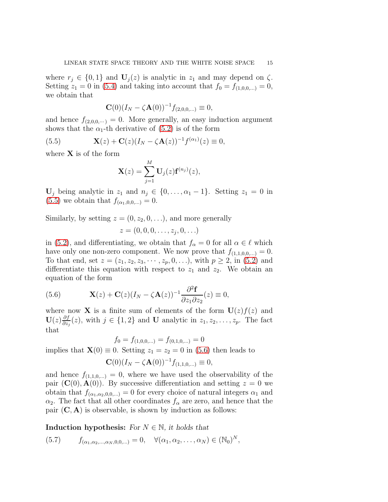where  $r_i \in \{0,1\}$  and  $\mathbf{U}_i(z)$  is analytic in  $z_1$  and may depend on  $\zeta$ . Setting  $z_1 = 0$  in [\(5.4\)](#page-15-4) and taking into account that  $f_0 = f_{(1,0,0,...)} = 0$ , we obtain that

<span id="page-16-0"></span>
$$
\mathbf{C}(0)(I_N - \zeta \mathbf{A}(0))^{-1} f_{(2,0,0,...)} \equiv 0,
$$

and hence  $f_{(2,0,0,\dots)} = 0$ . More generally, an easy induction argument shows that the  $\alpha_1$ -th derivative of [\(5.2\)](#page-15-2) is of the form

(5.5) 
$$
\mathbf{X}(z) + \mathbf{C}(z)(I_N - \zeta \mathbf{A}(z))^{-1} f^{(\alpha_1)}(z) \equiv 0,
$$

where  $X$  is of the form

$$
\mathbf{X}(z) = \sum_{j=1}^{M} \mathbf{U}_{j}(z) \mathbf{f}^{(n_{j})}(z),
$$

 $\mathbf{U}_j$  being analytic in  $z_1$  and  $n_j \in \{0, \ldots, \alpha_1 - 1\}$ . Setting  $z_1 = 0$  in [\(5.5\)](#page-16-0) we obtain that  $f_{(\alpha_1,0,0,...)} = 0$ .

Similarly, by setting  $z = (0, z_2, 0, \ldots)$ , and more generally

$$
z=(0,0,0,\ldots,z_j,0,\ldots)
$$

in [\(5.2\)](#page-15-2), and differentiating, we obtain that  $f_{\alpha} = 0$  for all  $\alpha \in \ell$  which have only one non-zero component. We now prove that  $f_{(1,1,0,0,...)} = 0$ . To that end, set  $z = (z_1, z_2, z_3, \dots, z_p, 0, \dots)$ , with  $p \ge 2$ , in [\(5.2\)](#page-15-2) and differentiate this equation with respect to  $z_1$  and  $z_2$ . We obtain an equation of the form

<span id="page-16-1"></span>(5.6) 
$$
\mathbf{X}(z) + \mathbf{C}(z)(I_N - \zeta \mathbf{A}(z))^{-1} \frac{\partial^2 \mathbf{f}}{\partial z_1 \partial z_2}(z) \equiv 0,
$$

where now **X** is a finite sum of elements of the form  $U(z)f(z)$  and  $\mathrm{U}(z) \frac{\partial f}{\partial z}$  $\frac{\partial f}{\partial z_j}(z)$ , with  $j \in \{1,2\}$  and **U** analytic in  $z_1, z_2, \ldots, z_p$ . The fact that

$$
f_0 = f_{(1,0,0,...)} = f_{(0,1,0,...)} = 0
$$

implies that  $\mathbf{X}(0) \equiv 0$ . Setting  $z_1 = z_2 = 0$  in [\(5.6\)](#page-16-1) then leads to

$$
\mathbf{C}(0)(I_N - \zeta \mathbf{A}(0))^{-1} f_{(1,1,0,...)} \equiv 0,
$$

and hence  $f_{(1,1,0,...)} = 0$ , where we have used the observability of the pair  $(C(0), A(0))$ . By successive differentiation and setting  $z = 0$  we obtain that  $f_{(\alpha_1,\alpha_2,0,0,...)}=0$  for every choice of natural integers  $\alpha_1$  and  $\alpha_2$ . The fact that all other coordinates  $f_\alpha$  are zero, and hence that the pair  $(C, A)$  is observable, is shown by induction as follows:

Induction hypothesis: For  $N \in \mathbb{N}$ , it holds that

$$
(5.7) \t f_{(\alpha_1,\alpha_2,...,\alpha_N,0,0,...)} = 0, \quad \forall (\alpha_1,\alpha_2,...,\alpha_N) \in (\mathbb{N}_0)^N,
$$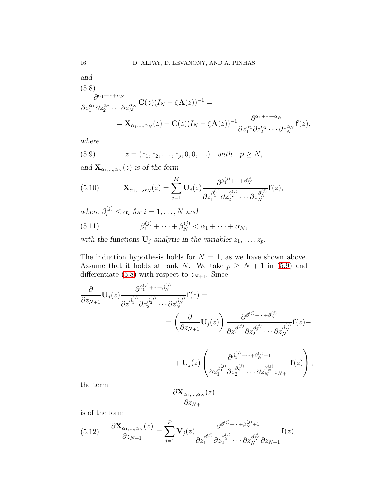<span id="page-17-1"></span>and  
\n
$$
(5.8)
$$
\n
$$
\frac{\partial^{\alpha_1+\cdots+\alpha_N}}{\partial z_1^{\alpha_1} \partial z_2^{\alpha_2} \cdots \partial z_N^{\alpha_N}} \mathbf{C}(z) (I_N - \zeta \mathbf{A}(z))^{-1} =
$$
\n
$$
= \mathbf{X}_{\alpha_1,\dots,\alpha_N}(z) + \mathbf{C}(z) (I_N - \zeta \mathbf{A}(z))^{-1} \frac{\partial^{\alpha_1+\cdots+\alpha_N}}{\partial z_1^{\alpha_1} \partial z_2^{\alpha_2} \cdots \partial z_N^{\alpha_N}} \mathbf{f}(z),
$$

where

<span id="page-17-0"></span>(5.9) 
$$
z = (z_1, z_2, \dots, z_p, 0, 0, \dots)
$$
 with  $p \ge N$ ,

and  $\mathbf{X}_{\alpha_1,\dots,\alpha_N}(z)$  is of the form

(5.10) 
$$
\mathbf{X}_{\alpha_1,\dots,\alpha_N}(z) = \sum_{j=1}^M \mathbf{U}_j(z) \frac{\partial^{\beta_1^{(j)} + \dots + \beta_N^{(j)}}}{\partial z_1^{\beta_1^{(j)}} \partial z_2^{\beta_2^{(j)}} \dots \partial z_N^{\beta_N^{(j)}}} \mathbf{f}(z),
$$

where  $\beta_i^{(j)} \leq \alpha_i$  for  $i = 1, ..., N$  and

(5.11) 
$$
\beta_1^{(j)} + \cdots + \beta_N^{(j)} < \alpha_1 + \cdots + \alpha_N,
$$

with the functions  $\mathbf{U}_j$  analytic in the variables  $z_1, \ldots, z_p$ .

The induction hypothesis holds for  $N = 1$ , as we have shown above. Assume that it holds at rank N. We take  $p \geq N + 1$  in [\(5.9\)](#page-17-0) and differentiate [\(5.8\)](#page-17-1) with respect to  $z_{N+1}$ . Since

$$
\frac{\partial}{\partial z_{N+1}} \mathbf{U}_{j}(z) \frac{\partial^{\beta_{1}^{(j)} + \dots + \beta_{N}^{(j)}}}{\partial z_{1}^{\beta_{1}^{(j)}} \partial z_{2}^{\beta_{2}^{(j)}} \dots \partial z_{N}^{\beta_{N}^{(j)}}} \mathbf{f}(z) =
$$
\n
$$
= \left(\frac{\partial}{\partial z_{N+1}} \mathbf{U}_{j}(z)\right) \frac{\partial^{\beta_{1}^{(j)} + \dots + \beta_{N}^{(j)}}}{\partial z_{1}^{\beta_{1}^{(j)}} \partial z_{2}^{\beta_{2}^{(j)}} \dots \partial z_{N}^{\beta_{N}^{(j)}}} \mathbf{f}(z) + \mathbf{U}_{j}(z) \left(\frac{\partial^{\beta_{1}^{(j)} + \dots + \beta_{N}^{(j)} + 1}}{\partial z_{1}^{\beta_{1}^{(j)}} \partial z_{2}^{\beta_{2}^{(j)}} \dots \partial z_{N}^{\beta_{N}^{(j)}} z_{N+1}} \mathbf{f}(z)\right),
$$
the term

the term

$$
\frac{\partial \mathbf{X}_{\alpha_1,\dots,\alpha_N}(z)}{\partial z_{N+1}}
$$

is of the form

<span id="page-17-2"></span>
$$
(5.12) \qquad \frac{\partial \mathbf{X}_{\alpha_1,\dots,\alpha_N}(z)}{\partial z_{N+1}} = \sum_{j=1}^P \mathbf{V}_j(z) \frac{\partial^{\beta_1^{(j)} + \dots + \beta_N^{(j)} + 1}}{\partial z_1^{\beta_1^{(j)}} \partial z_2^{\beta_2^{(j)}} \dots \partial z_N^{\beta_N^{(j)}} \partial z_{N+1}} \mathbf{f}(z),
$$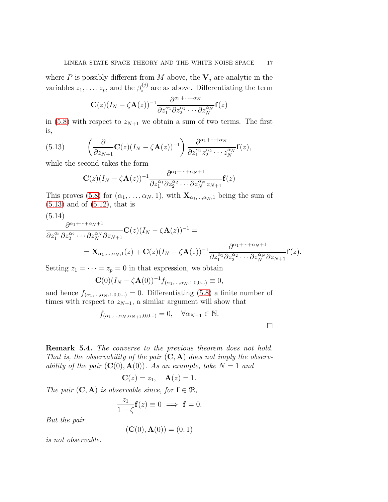where P is possibly different from M above, the  $V_j$  are analytic in the variables  $z_1, \ldots, z_p$ , and the  $\beta_i^{(j)}$  $i^{(j)}$  are as above. Differentiating the term

$$
\mathbf{C}(z)(I_N-\zeta \mathbf{A}(z))^{-1} \frac{\partial^{\alpha_1+\cdots+\alpha_N}}{\partial z_1^{\alpha_1} \partial z_2^{\alpha_2} \cdots \partial z_N^{\alpha_N}} \mathbf{f}(z)
$$

in [\(5.8\)](#page-17-1) with respect to  $z_{N+1}$  we obtain a sum of two terms. The first is,

(5.13) 
$$
\left(\frac{\partial}{\partial z_{N+1}}\mathbf{C}(z)(I_N-\zeta\mathbf{A}(z))^{-1}\right)\frac{\partial^{\alpha_1+\cdots+\alpha_N}}{\partial z_1^{\alpha_1}z_2^{\alpha_2}\cdots z_N^{\alpha_N}}\mathbf{f}(z),
$$

while the second takes the form

<span id="page-18-0"></span>
$$
\mathbf{C}(z)(I_N-\zeta \mathbf{A}(z))^{-1} \frac{\partial^{\alpha_1+\cdots+\alpha_N+1}}{\partial z_1^{\alpha_1} \partial z_2^{\alpha_2} \cdots \partial z_N^{\alpha_N} z_{N+1}} \mathbf{f}(z)
$$

This proves [\(5.8\)](#page-17-1) for  $(\alpha_1, \ldots, \alpha_N, 1)$ , with  $\mathbf{X}_{\alpha_1, \ldots, \alpha_N, 1}$  being the sum of  $(5.13)$  and of  $(5.12)$ , that is

(5.14)

$$
\frac{\partial^{\alpha_1+\cdots+\alpha_N+1}}{\partial z_1^{\alpha_1} \partial z_2^{\alpha_2} \cdots \partial z_N^{\alpha_N} \partial z_{N+1}} \mathbf{C}(z) (I_N - \zeta \mathbf{A}(z))^{-1} =
$$
\n
$$
= \mathbf{X}_{\alpha_1,\dots,\alpha_N,1}(z) + \mathbf{C}(z) (I_N - \zeta \mathbf{A}(z))^{-1} \frac{\partial^{\alpha_1+\cdots+\alpha_N+1}}{\partial z_1^{\alpha_1} \partial z_2^{\alpha_2} \cdots \partial z_N^{\alpha_N} \partial z_{N+1}} \mathbf{f}(z).
$$

Setting  $z_1 = \cdots = z_p = 0$  in that expression, we obtain

$$
\mathbf{C}(0)(I_N - \zeta \mathbf{A}(0))^{-1} f_{(\alpha_1, ..., \alpha_N, 1, 0, 0...)} \equiv 0,
$$

and hence  $f_{(\alpha_1,\dots,\alpha_N,1,0,0,\dots)}=0$ . Differentiating [\(5.8\)](#page-17-1) a finite number of times with respect to  $z_{N+1}$ , a similar argument will show that

$$
f_{(\alpha_1,\ldots,\alpha_N,\alpha_{N+1},0,0\ldots)}=0, \quad \forall \alpha_{N+1}\in\mathbb{N}.
$$

Remark 5.4. The converse to the previous theorem does not hold. That is, the observability of the pair  $(C, A)$  does not imply the observability of the pair  $(C(0), A(0))$ . As an example, take  $N = 1$  and

$$
\mathbf{C}(z) = z_1, \quad \mathbf{A}(z) = 1.
$$

The pair  $(C, A)$  is observable since, for  $f \in \mathfrak{R}$ ,

$$
\frac{z_1}{1-\zeta}\mathbf{f}(z) \equiv 0 \implies \mathbf{f} = 0.
$$

But the pair

$$
(\mathbf{C}(0), \mathbf{A}(0)) = (0, 1)
$$

is not observable.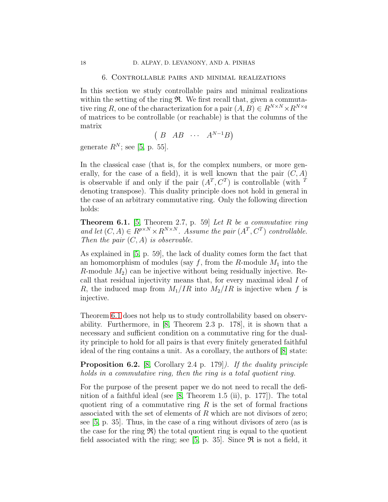#### 6. Controllable pairs and minimal realizations

<span id="page-19-0"></span>In this section we study controllable pairs and minimal realizations within the setting of the ring  $\mathfrak{R}$ . We first recall that, given a commutative ring R, one of the characterization for a pair  $(A, B) \in R^{N \times N} \times R^{N \times q}$ of matrices to be controllable (or reachable) is that the columns of the matrix

$$
(B \ AB \ \cdots \ A^{N-1}B)
$$

generate  $R^N$ ; see [\[5,](#page-22-5) p. 55].

In the classical case (that is, for the complex numbers, or more generally, for the case of a field), it is well known that the pair  $(C, A)$ is observable if and only if the pair  $(A^T, C^T)$  is controllable (with <sup>T</sup> denoting transpose). This duality principle does not hold in general in the case of an arbitrary commutative ring. Only the following direction holds:

<span id="page-19-1"></span>**Theorem 6.1.** [\[5,](#page-22-5) Theorem 2.7, p. 59] Let R be a commutative ring and let  $(C, A) \in R^{p \times N} \times R^{N \times N}$ . Assume the pair  $(A^T, C^T)$  controllable. Then the pair  $(C, A)$  is observable.

As explained in [\[5,](#page-22-5) p. 59], the lack of duality comes form the fact that an homomorphism of modules (say  $f$ , from the R-module  $M_1$  into the  $R$ -module  $M_2$ ) can be injective without being residually injective. Recall that residual injectivity means that, for every maximal ideal I of R, the induced map from  $M_1/IR$  into  $M_2/IR$  is injective when f is injective.

Theorem [6.1](#page-19-1) does not help us to study controllability based on observability. Furthermore, in [\[8,](#page-22-13) Theorem 2.3 p. 178], it is shown that a necessary and sufficient condition on a commutative ring for the duality principle to hold for all pairs is that every finitely generated faithful ideal of the ring contains a unit. As a corollary, the authors of [\[8\]](#page-22-13) state:

<span id="page-19-2"></span>**Proposition 6.2.** [\[8,](#page-22-13) Corollary 2.4 p. 179]). If the duality principle holds in a commutative ring, then the ring is a total quotient ring.

For the purpose of the present paper we do not need to recall the definition of a faithful ideal (see [\[8,](#page-22-13) Theorem 1.5 (ii), p. 177]). The total quotient ring of a commutative ring  $R$  is the set of formal fractions associated with the set of elements of  $R$  which are not divisors of zero; see [\[5,](#page-22-5) p. 35]. Thus, in the case of a ring without divisors of zero (as is the case for the ring  $\mathfrak{R}$ ) the total quotient ring is equal to the quotient field associated with the ring; see [\[5,](#page-22-5) p. 35]. Since  $\Re$  is not a field, it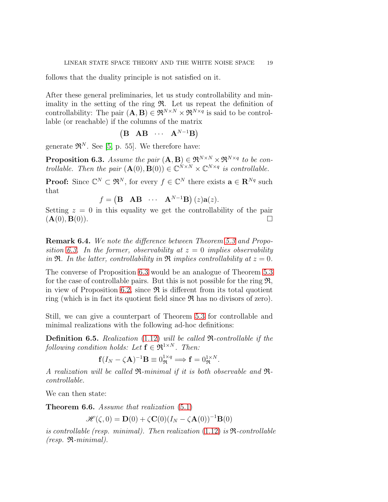follows that the duality principle is not satisfied on it.

After these general preliminaries, let us study controllability and minimality in the setting of the ring  $\mathfrak{R}$ . Let us repeat the definition of controllability: The pair  $(A, B) \in \mathfrak{R}^{N \times N} \times \mathfrak{R}^{N \times q}$  is said to be controllable (or reachable) if the columns of the matrix

$$
\begin{pmatrix} \mathbf{B} & \mathbf{A}\mathbf{B} & \cdots & \mathbf{A}^{N-1}\mathbf{B} \end{pmatrix}
$$

generate  $\mathfrak{R}^N$ . See [\[5,](#page-22-5) p. 55]. We therefore have:

<span id="page-20-0"></span>**Proposition 6.3.** Assume the pair  $(A, B) \in \mathbb{R}^{N \times N} \times \mathbb{R}^{N \times q}$  to be controllable. Then the pair  $(\mathbf{A}(0), \mathbf{B}(0)) \in \mathbb{C}^{N \times N} \times \mathbb{C}^{N \times q}$  is controllable.

**Proof:** Since  $\mathbb{C}^N \subset \mathfrak{R}^N$ , for every  $f \in \mathbb{C}^N$  there exists  $\mathbf{a} \in \mathbb{R}^{Nq}$  such that

$$
f = (\mathbf{B} \quad \mathbf{AB} \quad \cdots \quad \mathbf{A}^{N-1} \mathbf{B}) (z) \mathbf{a}(z).
$$

Setting  $z = 0$  in this equality we get the controllability of the pair  $(A(0), B(0)).$ 

Remark 6.4. We note the difference between Theorem [5.3](#page-15-0) and Propo-sition [6.3.](#page-20-0) In the former, observability at  $z = 0$  implies observability in  $\mathfrak{R}$ . In the latter, controllability in  $\mathfrak{R}$  implies controllability at  $z = 0$ .

The converse of Proposition [6.3](#page-20-0) would be an analogue of Theorem [5.3](#page-15-0) for the case of controllable pairs. But this is not possible for the ring  $\mathfrak{R}$ , in view of Proposition [6.2,](#page-19-2) since  $\Re$  is different from its total quotient ring (which is in fact its quotient field since  $\Re$  has no divisors of zero).

Still, we can give a counterpart of Theorem [5.3](#page-15-0) for controllable and minimal realizations with the following ad-hoc definitions:

Definition 6.5. Realization [\(1.12\)](#page-6-2) will be called R-controllable if the following condition holds: Let  $f \in \mathfrak{R}^{1 \times N}$ . Then:

$$
\mathbf{f}(I_N - \zeta \mathbf{A})^{-1} \mathbf{B} \equiv 0_{\mathfrak{R}}^{1 \times q} \Longrightarrow \mathbf{f} = 0_{\mathfrak{R}}^{1 \times N}.
$$

A realization will be called  $\mathfrak{R}\text{-minimal}$  if it is both observable and  $\mathfrak{R}\text{-}$ controllable.

We can then state:

Theorem 6.6. Assume that realization  $(5.1)$ 

$$
\mathscr{H}(\zeta,0) = \mathbf{D}(0) + \zeta \mathbf{C}(0) (I_N - \zeta \mathbf{A}(0))^{-1} \mathbf{B}(0)
$$

is controllable (resp. minimal). Then realization  $(1.12)$  is  $\Re$ -controllable  $(resp. \mathfrak{R}\text{-}minimal).$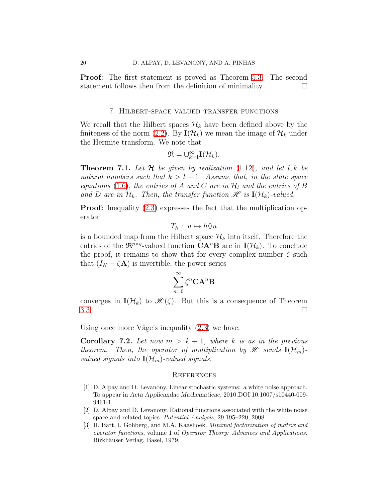<span id="page-21-0"></span>Proof: The first statement is proved as Theorem [5.3.](#page-15-0) The second statement follows then from the definition of minimality.

#### 7. Hilbert-space valued transfer functions

We recall that the Hilbert spaces  $\mathcal{H}_k$  have been defined above by the finiteness of the norm [\(2.2\)](#page-8-0). By  $I(\mathcal{H}_k)$  we mean the image of  $\mathcal{H}_k$  under the Hermite transform. We note that

$$
\mathfrak{R}=\cup_{k=1}^{\infty}\mathbf{I}(\mathcal{H}_{k}).
$$

**Theorem 7.1.** Let H be given by realization  $(1.12)$ , and let l, k be natural numbers such that  $k > l + 1$ . Assume that, in the state space equations [\(1.6\)](#page-4-1), the entries of A and C are in  $\mathcal{H}_l$  and the entries of B and D are in  $\mathcal{H}_k$ . Then, the transfer function  $\mathcal{H}$  is  $I(\mathcal{H}_k)$ -valued.

**Proof:** Inequality  $(2.3)$  expresses the fact that the multiplication operator

$$
T_h: u \mapsto h \Diamond u
$$

is a bounded map from the Hilbert space  $\mathcal{H}_k$  into itself. Therefore the entries of the  $\mathfrak{R}^{p \times q}$ -valued function  $\mathbf{C} \mathbf{A}^n \mathbf{B}$  are in  $\mathbf{I}(\mathcal{H}_k)$ . To conclude the proof, it remains to show that for every complex number  $\zeta$  such that  $(I_N - \zeta \mathbf{A})$  is invertible, the power series

$$
\sum_{n=0}^\infty \zeta^n \mathbf{C} \mathbf{A}^n \mathbf{B}
$$

converges in  $I(\mathcal{H}_k)$  to  $\mathscr{H}(\zeta)$ . But this is a consequence of Theorem  $3.3.$ 

Using once more Våge's inequality  $(2.3)$  we have:

**Corollary 7.2.** Let now  $m > k + 1$ , where k is as in the previous theorem. Then, the operator of multiplication by  $\mathscr{H}$  sends  $\mathbf{I}(\mathcal{H}_m)$ . valued signals into  $\mathbf{I}(\mathcal{H}_m)$ -valued signals.

#### **REFERENCES**

- <span id="page-21-2"></span><span id="page-21-1"></span>[1] D. Alpay and D. Levanony. Linear stochastic systems: a white noise approach. To appear in Acta Applicandae Mathematicae, 2010.DOI 10.1007/s10440-009- 9461-1.
- <span id="page-21-3"></span>[2] D. Alpay and D. Levanony. Rational functions associated with the white noise space and related topics. Potential Analysis, 29:195–220, 2008.
- <span id="page-21-4"></span>[3] H. Bart, I. Gohberg, and M.A. Kaashoek. Minimal factorization of matrix and operator functions, volume 1 of Operator Theory: Advances and Applications. Birkhäuser Verlag, Basel, 1979.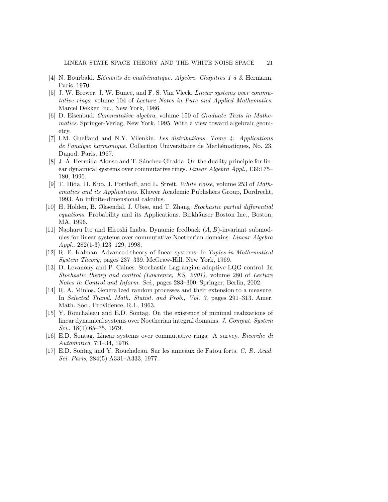- <span id="page-22-12"></span><span id="page-22-5"></span>[4] N. Bourbaki. Eléments de mathématique. Algèbre. Chapitres 1 à 3. Hermann, Paris, 1970.
- [5] J. W. Brewer, J. W. Bunce, and F. S. Van Vleck. *Linear systems over commu*tative rings, volume 104 of Lecture Notes in Pure and Applied Mathematics. Marcel Dekker Inc., New York, 1986.
- <span id="page-22-11"></span>[6] D. Eisenbud. Commutative algebra, volume 150 of Graduate Texts in Mathematics. Springer-Verlag, New York, 1995. With a view toward algebraic geometry.
- <span id="page-22-10"></span>[7] I.M. Guelfand and N.Y. Vilenkin. Les distributions. Tome 4: Applications de l'analyse harmonique. Collection Universitaire de Mathématiques, No. 23. Dunod, Paris, 1967.
- <span id="page-22-13"></span> $[8]$  J. A. Hermida Alonso and T. Sanchez-Giralda. On the duality principle for linear dynamical systems over commutative rings. Linear Algebra Appl., 139:175– 180, 1990.
- <span id="page-22-6"></span>[9] T. Hida, H. Kuo, J. Potthoff, and L. Streit. White noise, volume 253 of Mathematics and its Applications. Kluwer Academic Publishers Group, Dordrecht, 1993. An infinite-dimensional calculus.
- <span id="page-22-7"></span>[10] H. Holden, B. Øksendal, J. Ubøe, and T. Zhang. Stochastic partial differential equations. Probability and its Applications. Birkhäuser Boston Inc., Boston, MA, 1996.
- <span id="page-22-3"></span>[11] Naoharu Ito and Hiroshi Inaba. Dynamic feedback  $(A, B)$ -invariant submodules for linear systems over commutative Noetherian domains. Linear Algebra Appl., 282(1-3):123–129, 1998.
- <span id="page-22-4"></span>[12] R. E. Kalman. Advanced theory of linear systems. In Topics in Mathematical System Theory, pages 237–339. McGraw-Hill, New York, 1969.
- <span id="page-22-8"></span>[13] D. Levanony and P. Caines. Stochastic Lagrangian adaptive LQG control. In Stochastic theory and control (Lawrence, KS, 2001), volume 280 of Lecture Notes in Control and Inform. Sci., pages 283–300. Springer, Berlin, 2002.
- <span id="page-22-9"></span>[14] R. A. Minlos. Generalized random processes and their extension to a measure. In Selected Transl. Math. Statist. and Prob., Vol. 3, pages 291–313. Amer. Math. Soc., Providence, R.I., 1963.
- <span id="page-22-0"></span>[15] Y. Rouchaleau and E.D. Sontag. On the existence of minimal realizations of linear dynamical systems over Noetherian integral domains. J. Comput. System Sci.,  $18(1):65-75$ , 1979.
- <span id="page-22-2"></span>[16] E.D. Sontag. Linear systems over commutative rings: A survey. Ricerche di Automatica, 7:1–34, 1976.
- <span id="page-22-1"></span>[17] E.D. Sontag and Y. Rouchaleau. Sur les anneaux de Fatou forts. C. R. Acad. Sci. Paris, 284(5):A331–A333, 1977.